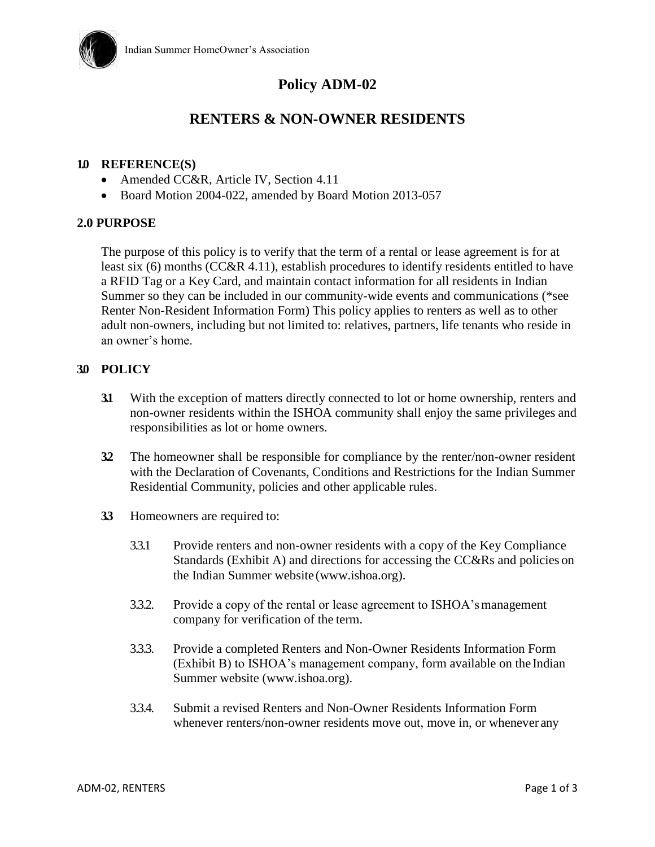

# **Policy ADM-02**

# **RENTERS & NON-OWNER RESIDENTS**

#### **1.0 REFERENCE(S)**

- Amended CC&R, Article IV, Section 4.11
- Board Motion 2004-022, amended by Board Motion 2013-057

#### **2.0 PURPOSE**

The purpose of this policy is to verify that the term of a rental or lease agreement is for at least six (6) months (CC&R 4.11), establish procedures to identify residents entitled to have a RFID Tag or a Key Card, and maintain contact information for all residents in Indian Summer so they can be included in our community-wide events and communications (\*see Renter Non-Resident Information Form) This policy applies to renters as well as to other adult non-owners, including but not limited to: relatives, partners, life tenants who reside in an owner's home.

#### **3.0 POLICY**

- **3.1** With the exception of matters directly connected to lot or home ownership, renters and non-owner residents within the ISHOA community shall enjoy the same privileges and responsibilities as lot or home owners.
- **3.2** The homeowner shall be responsible for compliance by the renter/non-owner resident with the Declaration of Covenants, Conditions and Restrictions for the Indian Summer Residential Community, policies and other applicable rules.
- **3.3** Homeowners are required to:
	- 3.3.1 Provide renters and non-owner residents with a copy of the Key Compliance Standards (Exhibit A) and directions for accessing the CC&Rs and policies on the Indian Summer website (www.ishoa.org).
	- 3.3.2. Provide a copy of the rental or lease agreement to ISHOA'smanagement company for verification of the term.
	- 3.3.3. Provide a completed Renters and Non-Owner Residents Information Form (Exhibit B) to ISHOA's management company, form available on the Indian Summer website (www.ishoa.org).
	- 3.3.4. Submit a revised Renters and Non-Owner Residents Information Form whenever renters/non-owner residents move out, move in, or whenever any